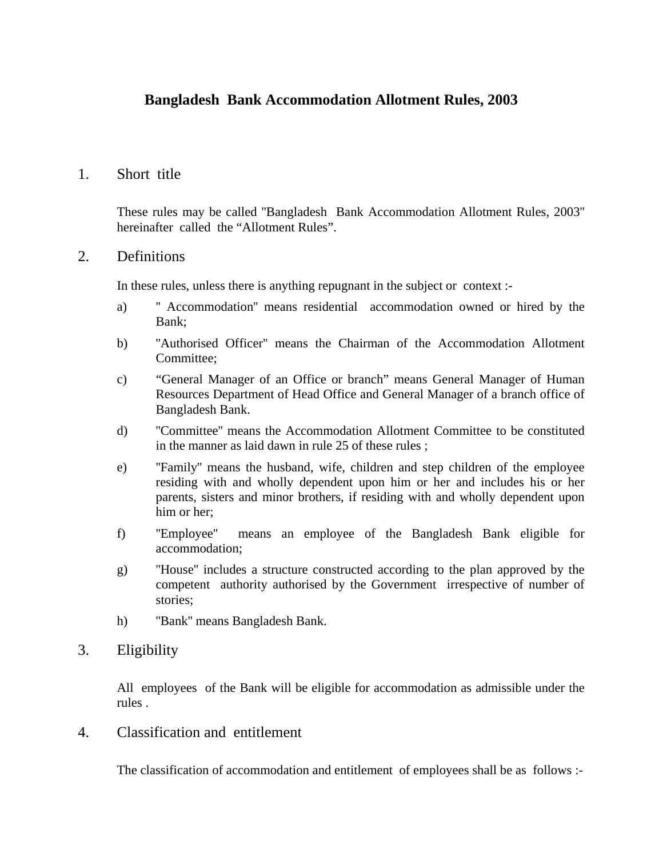# **Bangladesh Bank Accommodation Allotment Rules, 2003**

### 1. Short title

 These rules may be called ''Bangladesh Bank Accommodation Allotment Rules, 2003'' hereinafter called the "Allotment Rules".

### 2. Definitions

In these rules, unless there is anything repugnant in the subject or context :-

- a) '' Accommodation'' means residential accommodation owned or hired by the Bank;
- b) ''Authorised Officer'' means the Chairman of the Accommodation Allotment Committee;
- c) "General Manager of an Office or branch" means General Manager of Human Resources Department of Head Office and General Manager of a branch office of Bangladesh Bank.
- d) ''Committee'' means the Accommodation Allotment Committee to be constituted in the manner as laid dawn in rule 25 of these rules ;
- e) ''Family'' means the husband, wife, children and step children of the employee residing with and wholly dependent upon him or her and includes his or her parents, sisters and minor brothers, if residing with and wholly dependent upon him or her;
- f) ''Employee'' means an employee of the Bangladesh Bank eligible for accommodation;
- g) ''House'' includes a structure constructed according to the plan approved by the competent authority authorised by the Government irrespective of number of stories;
- h) ''Bank'' means Bangladesh Bank.

### 3. Eligibility

 All employees of the Bank will be eligible for accommodation as admissible under the rules .

4. Classification and entitlement

The classification of accommodation and entitlement of employees shall be as follows :-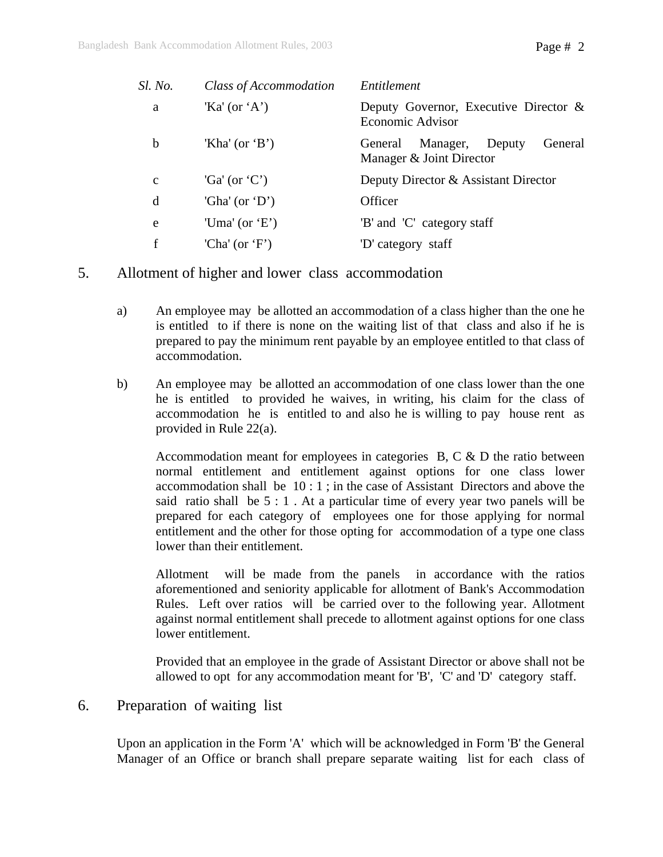| Sl. No.      | Class of Accommodation | Entitlement                                                          |  |
|--------------|------------------------|----------------------------------------------------------------------|--|
| a            | 'Ka' (or 'A')          | Deputy Governor, Executive Director $\&$<br>Economic Advisor         |  |
| b            | 'Kha' (or 'B')         | General<br>Manager,<br>Deputy<br>General<br>Manager & Joint Director |  |
| $\mathbf{C}$ | 'Ga' (or 'C')          | Deputy Director & Assistant Director                                 |  |
| d            | 'Gha' (or 'D')         | Officer                                                              |  |
| e            | 'Uma' (or 'E')         | 'B' and 'C' category staff                                           |  |
| f            | 'Cha' (or 'F')         | 'D' category staff                                                   |  |

- 5. Allotment of higher and lower class accommodation
	- a) An employee may be allotted an accommodation of a class higher than the one he is entitled to if there is none on the waiting list of that class and also if he is prepared to pay the minimum rent payable by an employee entitled to that class of accommodation.
	- b) An employee may be allotted an accommodation of one class lower than the one he is entitled to provided he waives, in writing, his claim for the class of accommodation he is entitled to and also he is willing to pay house rent as provided in Rule 22(a).

 Accommodation meant for employees in categories B, C & D the ratio between normal entitlement and entitlement against options for one class lower accommodation shall be 10 : 1 ; in the case of Assistant Directors and above the said ratio shall be 5 : 1 . At a particular time of every year two panels will be prepared for each category of employees one for those applying for normal entitlement and the other for those opting for accommodation of a type one class lower than their entitlement.

 Allotment will be made from the panels in accordance with the ratios aforementioned and seniority applicable for allotment of Bank's Accommodation Rules. Left over ratios will be carried over to the following year. Allotment against normal entitlement shall precede to allotment against options for one class lower entitlement.

 Provided that an employee in the grade of Assistant Director or above shall not be allowed to opt for any accommodation meant for 'B', 'C' and 'D' category staff.

6. Preparation of waiting list

 Upon an application in the Form 'A' which will be acknowledged in Form 'B' the General Manager of an Office or branch shall prepare separate waiting list for each class of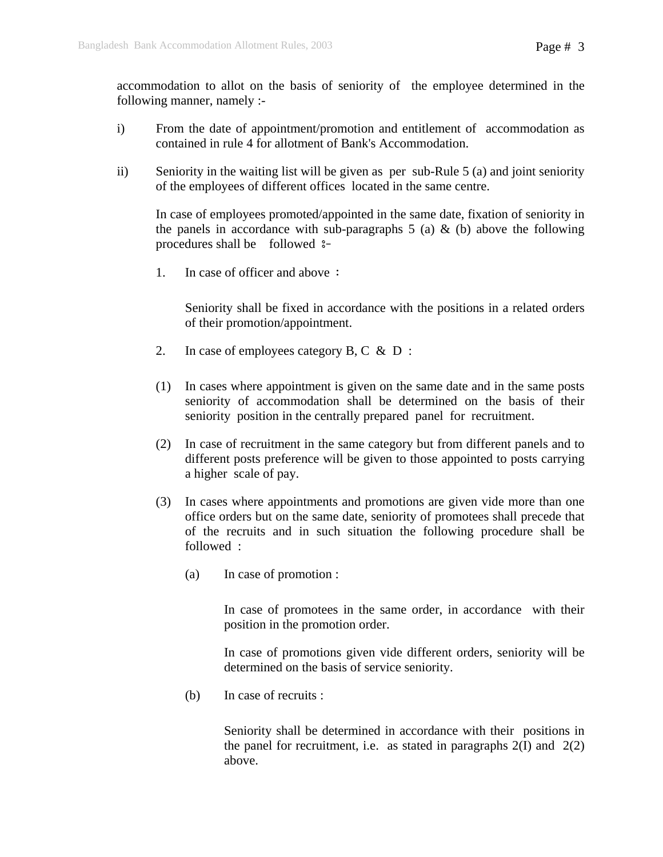accommodation to allot on the basis of seniority of the employee determined in the following manner, namely :-

- i) From the date of appointment/promotion and entitlement of accommodation as contained in rule 4 for allotment of Bank's Accommodation.
- ii) Seniority in the waiting list will be given as per sub-Rule 5 (a) and joint seniority of the employees of different offices located in the same centre.

 In case of employees promoted/appointed in the same date, fixation of seniority in the panels in accordance with sub-paragraphs  $5$  (a)  $\&$  (b) above the following procedures shall be followed  $s$ -

1. In case of officer and above :

 Seniority shall be fixed in accordance with the positions in a related orders of their promotion/appointment.

- 2. In case of employees category B, C & D :
- (1) In cases where appointment is given on the same date and in the same posts seniority of accommodation shall be determined on the basis of their seniority position in the centrally prepared panel for recruitment.
- (2) In case of recruitment in the same category but from different panels and to different posts preference will be given to those appointed to posts carrying a higher scale of pay.
- (3) In cases where appointments and promotions are given vide more than one office orders but on the same date, seniority of promotees shall precede that of the recruits and in such situation the following procedure shall be followed :
	- (a) In case of promotion :

 In case of promotees in the same order, in accordance with their position in the promotion order.

 In case of promotions given vide different orders, seniority will be determined on the basis of service seniority.

(b) In case of recruits :

 Seniority shall be determined in accordance with their positions in the panel for recruitment, i.e. as stated in paragraphs  $2(I)$  and  $2(2)$ above.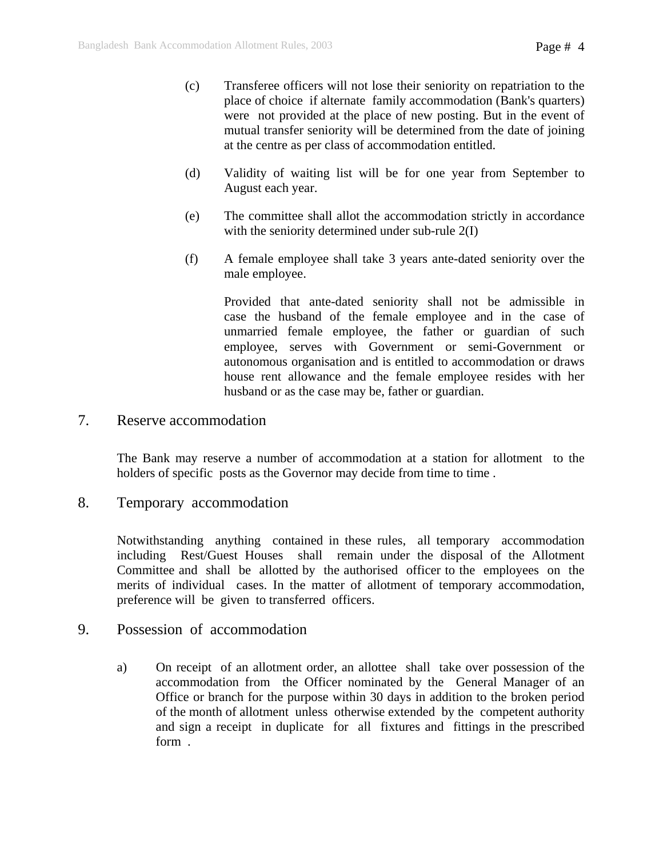- (c) Transferee officers will not lose their seniority on repatriation to the place of choice if alternate family accommodation (Bank's quarters) were not provided at the place of new posting. But in the event of mutual transfer seniority will be determined from the date of joining at the centre as per class of accommodation entitled.
- (d) Validity of waiting list will be for one year from September to August each year.
- (e) The committee shall allot the accommodation strictly in accordance with the seniority determined under sub-rule 2(I)
- (f) A female employee shall take 3 years ante-dated seniority over the male employee.

 Provided that ante-dated seniority shall not be admissible in case the husband of the female employee and in the case of unmarried female employee, the father or guardian of such employee, serves with Government or semi-Government or autonomous organisation and is entitled to accommodation or draws house rent allowance and the female employee resides with her husband or as the case may be, father or guardian.

#### 7. Reserve accommodation

The Bank may reserve a number of accommodation at a station for allotment to the holders of specific posts as the Governor may decide from time to time.

### 8. Temporary accommodation

Notwithstanding anything contained in these rules, all temporary accommodation including Rest/Guest Houses shall remain under the disposal of the Allotment Committee and shall be allotted by the authorised officer to the employees on the merits of individual cases. In the matter of allotment of temporary accommodation, preference will be given to transferred officers.

### 9. Possession of accommodation

 a) On receipt of an allotment order, an allottee shall take over possession of the accommodation from the Officer nominated by the General Manager of an Office or branch for the purpose within 30 days in addition to the broken period of the month of allotment unless otherwise extended by the competent authority and sign a receipt in duplicate for all fixtures and fittings in the prescribed form .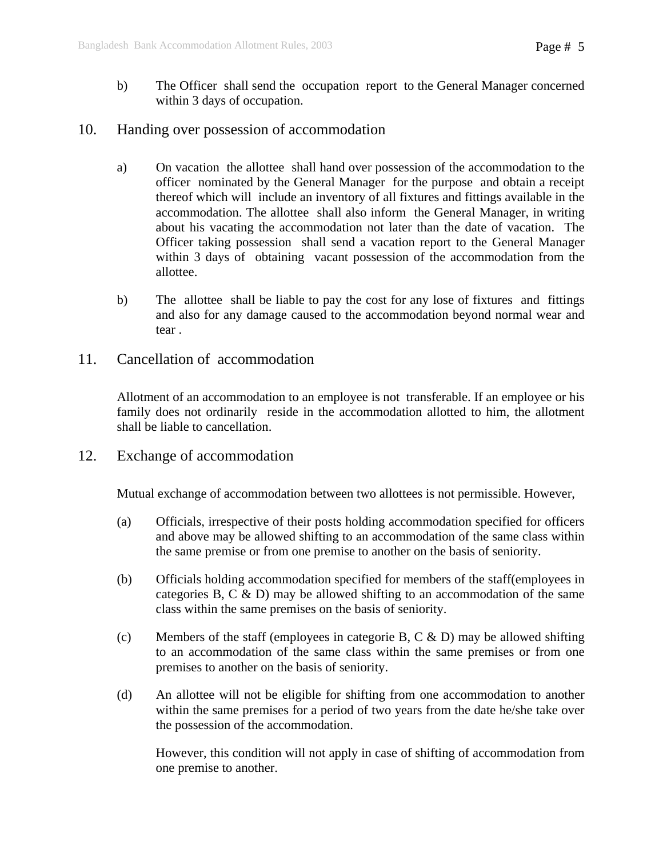b) The Officer shall send the occupation report to the General Manager concerned within 3 days of occupation.

## 10. Handing over possession of accommodation

- a) On vacation the allottee shall hand over possession of the accommodation to the officer nominated by the General Manager for the purpose and obtain a receipt thereof which will include an inventory of all fixtures and fittings available in the accommodation. The allottee shall also inform the General Manager, in writing about his vacating the accommodation not later than the date of vacation. The Officer taking possession shall send a vacation report to the General Manager within 3 days of obtaining vacant possession of the accommodation from the allottee.
- b) The allottee shall be liable to pay the cost for any lose of fixtures and fittings and also for any damage caused to the accommodation beyond normal wear and tear .
- 11. Cancellation of accommodation

Allotment of an accommodation to an employee is not transferable. If an employee or his family does not ordinarily reside in the accommodation allotted to him, the allotment shall be liable to cancellation.

12. Exchange of accommodation

Mutual exchange of accommodation between two allottees is not permissible. However,

- (a) Officials, irrespective of their posts holding accommodation specified for officers and above may be allowed shifting to an accommodation of the same class within the same premise or from one premise to another on the basis of seniority.
- (b) Officials holding accommodation specified for members of the staff(employees in categories B, C & D) may be allowed shifting to an accommodation of the same class within the same premises on the basis of seniority.
- (c) Members of the staff (employees in categorie B, C  $\&$  D) may be allowed shifting to an accommodation of the same class within the same premises or from one premises to another on the basis of seniority.
- (d) An allottee will not be eligible for shifting from one accommodation to another within the same premises for a period of two years from the date he/she take over the possession of the accommodation.

 However, this condition will not apply in case of shifting of accommodation from one premise to another.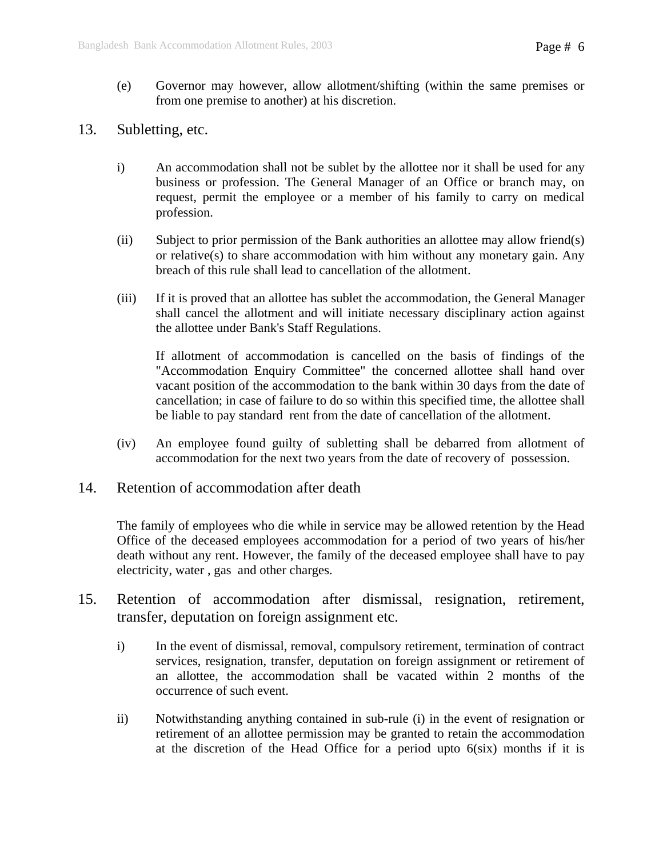- (e) Governor may however, allow allotment/shifting (within the same premises or from one premise to another) at his discretion.
- 13. Subletting, etc.
	- i) An accommodation shall not be sublet by the allottee nor it shall be used for any business or profession. The General Manager of an Office or branch may, on request, permit the employee or a member of his family to carry on medical profession.
	- (ii) Subject to prior permission of the Bank authorities an allottee may allow friend(s) or relative(s) to share accommodation with him without any monetary gain. Any breach of this rule shall lead to cancellation of the allotment.
	- (iii) If it is proved that an allottee has sublet the accommodation, the General Manager shall cancel the allotment and will initiate necessary disciplinary action against the allottee under Bank's Staff Regulations.

 If allotment of accommodation is cancelled on the basis of findings of the "Accommodation Enquiry Committee" the concerned allottee shall hand over vacant position of the accommodation to the bank within 30 days from the date of cancellation; in case of failure to do so within this specified time, the allottee shall be liable to pay standard rent from the date of cancellation of the allotment.

- (iv) An employee found guilty of subletting shall be debarred from allotment of accommodation for the next two years from the date of recovery of possession.
- 14. Retention of accommodation after death

 The family of employees who die while in service may be allowed retention by the Head Office of the deceased employees accommodation for a period of two years of his/her death without any rent. However, the family of the deceased employee shall have to pay electricity, water , gas and other charges.

- 15. Retention of accommodation after dismissal, resignation, retirement, transfer, deputation on foreign assignment etc.
	- i) In the event of dismissal, removal, compulsory retirement, termination of contract services, resignation, transfer, deputation on foreign assignment or retirement of an allottee, the accommodation shall be vacated within 2 months of the occurrence of such event.
	- ii) Notwithstanding anything contained in sub-rule (i) in the event of resignation or retirement of an allottee permission may be granted to retain the accommodation at the discretion of the Head Office for a period upto 6(six) months if it is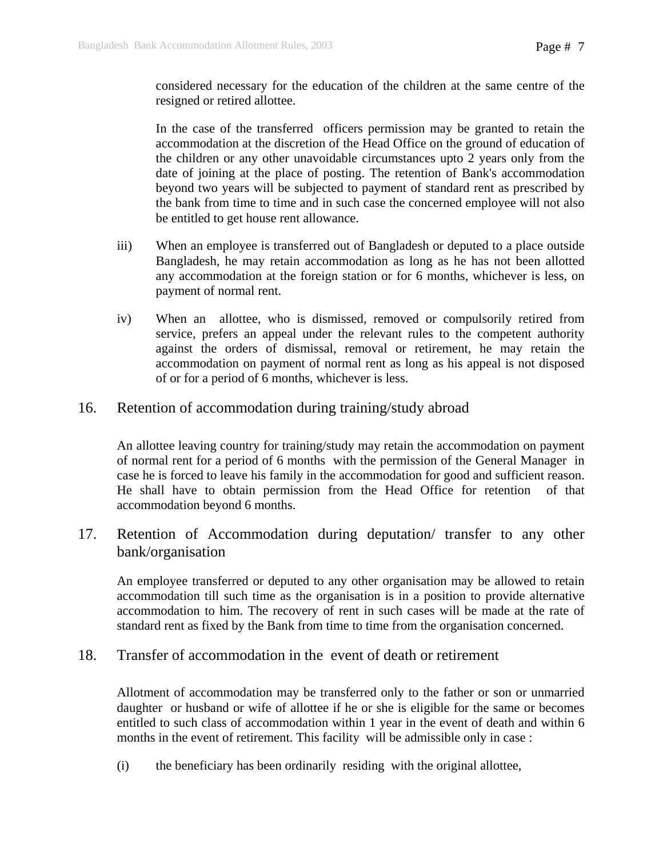considered necessary for the education of the children at the same centre of the resigned or retired allottee.

 In the case of the transferred officers permission may be granted to retain the accommodation at the discretion of the Head Office on the ground of education of the children or any other unavoidable circumstances upto 2 years only from the date of joining at the place of posting. The retention of Bank's accommodation beyond two years will be subjected to payment of standard rent as prescribed by the bank from time to time and in such case the concerned employee will not also be entitled to get house rent allowance.

- iii) When an employee is transferred out of Bangladesh or deputed to a place outside Bangladesh, he may retain accommodation as long as he has not been allotted any accommodation at the foreign station or for 6 months, whichever is less, on payment of normal rent.
- iv) When an allottee, who is dismissed, removed or compulsorily retired from service, prefers an appeal under the relevant rules to the competent authority against the orders of dismissal, removal or retirement, he may retain the accommodation on payment of normal rent as long as his appeal is not disposed of or for a period of 6 months, whichever is less.
- 16. Retention of accommodation during training/study abroad

An allottee leaving country for training/study may retain the accommodation on payment of normal rent for a period of 6 months with the permission of the General Manager in case he is forced to leave his family in the accommodation for good and sufficient reason. He shall have to obtain permission from the Head Office for retention of that accommodation beyond 6 months.

17. Retention of Accommodation during deputation/ transfer to any other bank/organisation

An employee transferred or deputed to any other organisation may be allowed to retain accommodation till such time as the organisation is in a position to provide alternative accommodation to him. The recovery of rent in such cases will be made at the rate of standard rent as fixed by the Bank from time to time from the organisation concerned.

18. Transfer of accommodation in the event of death or retirement

Allotment of accommodation may be transferred only to the father or son or unmarried daughter or husband or wife of allottee if he or she is eligible for the same or becomes entitled to such class of accommodation within 1 year in the event of death and within 6 months in the event of retirement. This facility will be admissible only in case :

(i) the beneficiary has been ordinarily residing with the original allottee,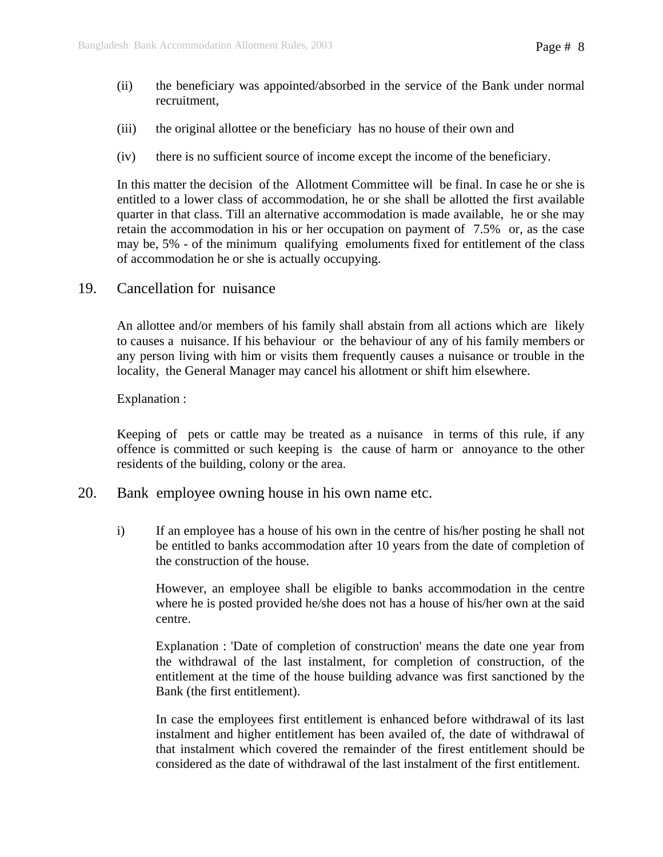- (ii) the beneficiary was appointed/absorbed in the service of the Bank under normal recruitment,
- (iii) the original allottee or the beneficiary has no house of their own and
- (iv) there is no sufficient source of income except the income of the beneficiary.

In this matter the decision of the Allotment Committee will be final. In case he or she is entitled to a lower class of accommodation, he or she shall be allotted the first available quarter in that class. Till an alternative accommodation is made available, he or she may retain the accommodation in his or her occupation on payment of 7.5% or, as the case may be, 5% - of the minimum qualifying emoluments fixed for entitlement of the class of accommodation he or she is actually occupying.

19. Cancellation for nuisance

An allottee and/or members of his family shall abstain from all actions which are likely to causes a nuisance. If his behaviour or the behaviour of any of his family members or any person living with him or visits them frequently causes a nuisance or trouble in the locality, the General Manager may cancel his allotment or shift him elsewhere.

Explanation :

Keeping of pets or cattle may be treated as a nuisance in terms of this rule, if any offence is committed or such keeping is the cause of harm or annoyance to the other residents of the building, colony or the area.

- 20. Bank employee owning house in his own name etc.
	- i) If an employee has a house of his own in the centre of his/her posting he shall not be entitled to banks accommodation after 10 years from the date of completion of the construction of the house.

 However, an employee shall be eligible to banks accommodation in the centre where he is posted provided he/she does not has a house of his/her own at the said centre.

 Explanation : 'Date of completion of construction' means the date one year from the withdrawal of the last instalment, for completion of construction, of the entitlement at the time of the house building advance was first sanctioned by the Bank (the first entitlement).

 In case the employees first entitlement is enhanced before withdrawal of its last instalment and higher entitlement has been availed of, the date of withdrawal of that instalment which covered the remainder of the firest entitlement should be considered as the date of withdrawal of the last instalment of the first entitlement.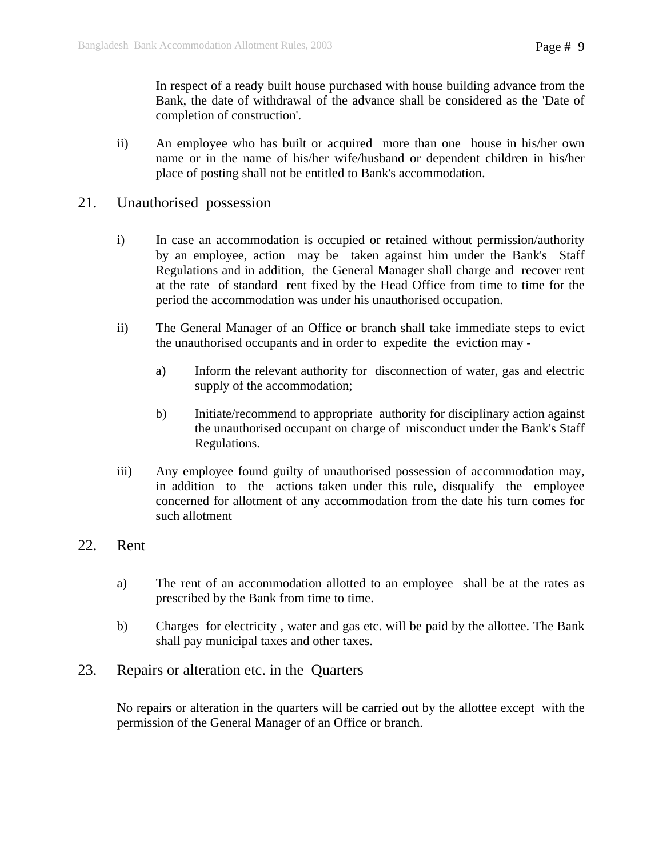In respect of a ready built house purchased with house building advance from the Bank, the date of withdrawal of the advance shall be considered as the 'Date of completion of construction'.

- ii) An employee who has built or acquired more than one house in his/her own name or in the name of his/her wife/husband or dependent children in his/her place of posting shall not be entitled to Bank's accommodation.
- 21. Unauthorised possession
	- i) In case an accommodation is occupied or retained without permission/authority by an employee, action may be taken against him under the Bank's Staff Regulations and in addition, the General Manager shall charge and recover rent at the rate of standard rent fixed by the Head Office from time to time for the period the accommodation was under his unauthorised occupation.
	- ii) The General Manager of an Office or branch shall take immediate steps to evict the unauthorised occupants and in order to expedite the eviction may
		- a) Inform the relevant authority for disconnection of water, gas and electric supply of the accommodation;
		- b) Initiate/recommend to appropriate authority for disciplinary action against the unauthorised occupant on charge of misconduct under the Bank's Staff Regulations.
	- iii) Any employee found guilty of unauthorised possession of accommodation may, in addition to the actions taken under this rule, disqualify the employee concerned for allotment of any accommodation from the date his turn comes for such allotment
- 22. Rent
	- a) The rent of an accommodation allotted to an employee shall be at the rates as prescribed by the Bank from time to time.
	- b) Charges for electricity , water and gas etc. will be paid by the allottee. The Bank shall pay municipal taxes and other taxes.
- 23. Repairs or alteration etc. in the Quarters

No repairs or alteration in the quarters will be carried out by the allottee except with the permission of the General Manager of an Office or branch.